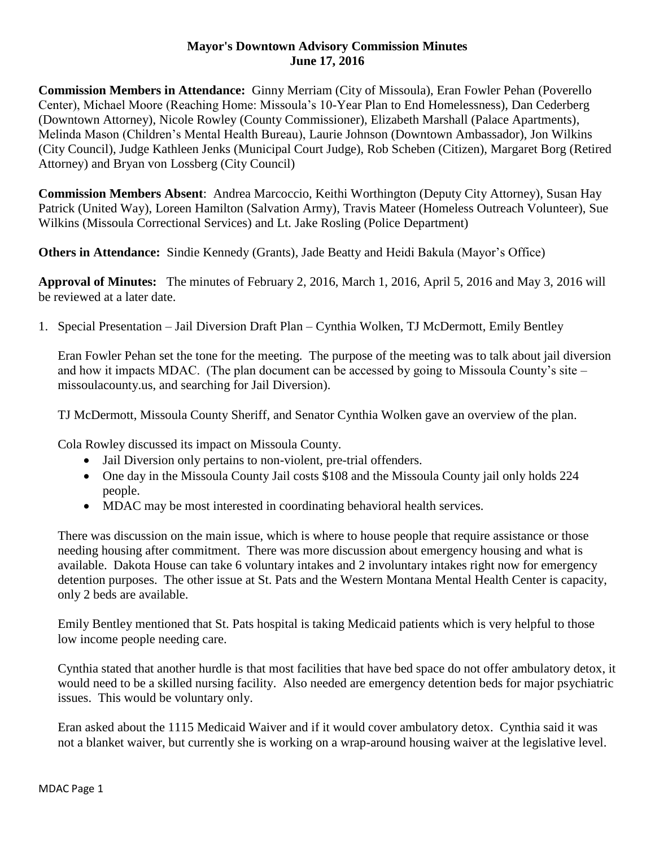## **Mayor's Downtown Advisory Commission Minutes June 17, 2016**

**Commission Members in Attendance:** Ginny Merriam (City of Missoula), Eran Fowler Pehan (Poverello Center), Michael Moore (Reaching Home: Missoula's 10-Year Plan to End Homelessness), Dan Cederberg (Downtown Attorney), Nicole Rowley (County Commissioner), Elizabeth Marshall (Palace Apartments), Melinda Mason (Children's Mental Health Bureau), Laurie Johnson (Downtown Ambassador), Jon Wilkins (City Council), Judge Kathleen Jenks (Municipal Court Judge), Rob Scheben (Citizen), Margaret Borg (Retired Attorney) and Bryan von Lossberg (City Council)

**Commission Members Absent**: Andrea Marcoccio, Keithi Worthington (Deputy City Attorney), Susan Hay Patrick (United Way), Loreen Hamilton (Salvation Army), Travis Mateer (Homeless Outreach Volunteer), Sue Wilkins (Missoula Correctional Services) and Lt. Jake Rosling (Police Department)

**Others in Attendance:** Sindie Kennedy (Grants), Jade Beatty and Heidi Bakula (Mayor's Office)

**Approval of Minutes:** The minutes of February 2, 2016, March 1, 2016, April 5, 2016 and May 3, 2016 will be reviewed at a later date.

1. Special Presentation – Jail Diversion Draft Plan – Cynthia Wolken, TJ McDermott, Emily Bentley

Eran Fowler Pehan set the tone for the meeting. The purpose of the meeting was to talk about jail diversion and how it impacts MDAC. (The plan document can be accessed by going to Missoula County's site – missoulacounty.us, and searching for Jail Diversion).

TJ McDermott, Missoula County Sheriff, and Senator Cynthia Wolken gave an overview of the plan.

Cola Rowley discussed its impact on Missoula County.

- Jail Diversion only pertains to non-violent, pre-trial offenders.
- One day in the Missoula County Jail costs \$108 and the Missoula County jail only holds 224 people.
- MDAC may be most interested in coordinating behavioral health services.

There was discussion on the main issue, which is where to house people that require assistance or those needing housing after commitment. There was more discussion about emergency housing and what is available. Dakota House can take 6 voluntary intakes and 2 involuntary intakes right now for emergency detention purposes. The other issue at St. Pats and the Western Montana Mental Health Center is capacity, only 2 beds are available.

Emily Bentley mentioned that St. Pats hospital is taking Medicaid patients which is very helpful to those low income people needing care.

Cynthia stated that another hurdle is that most facilities that have bed space do not offer ambulatory detox, it would need to be a skilled nursing facility. Also needed are emergency detention beds for major psychiatric issues. This would be voluntary only.

Eran asked about the 1115 Medicaid Waiver and if it would cover ambulatory detox. Cynthia said it was not a blanket waiver, but currently she is working on a wrap-around housing waiver at the legislative level.